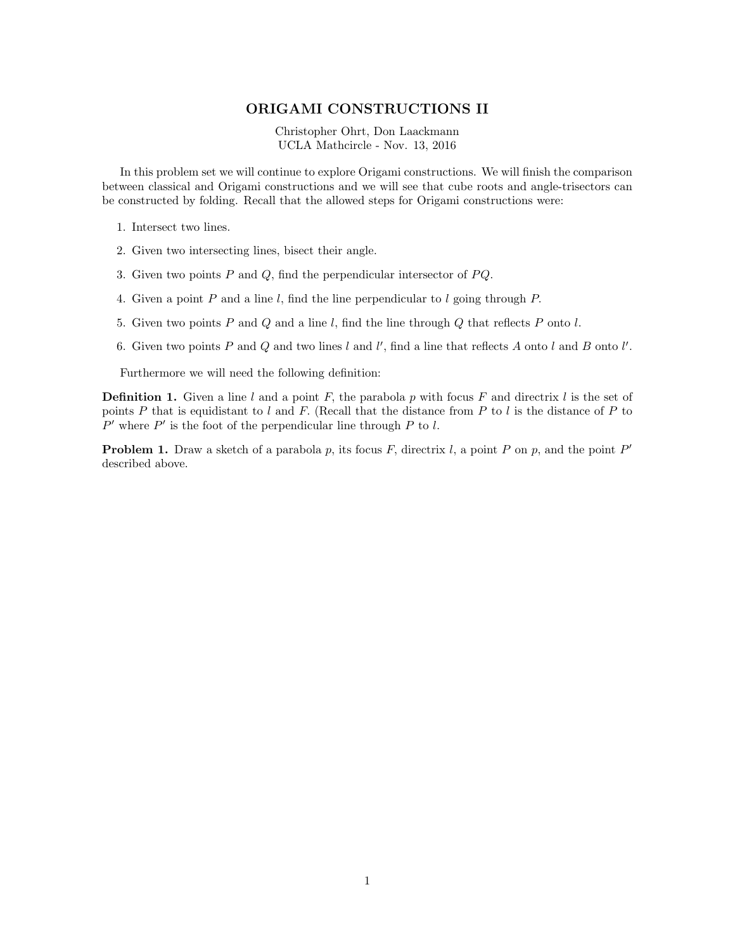## ORIGAMI CONSTRUCTIONS II

Christopher Ohrt, Don Laackmann UCLA Mathcircle - Nov. 13, 2016

In this problem set we will continue to explore Origami constructions. We will finish the comparison between classical and Origami constructions and we will see that cube roots and angle-trisectors can be constructed by folding. Recall that the allowed steps for Origami constructions were:

- 1. Intersect two lines.
- 2. Given two intersecting lines, bisect their angle.
- 3. Given two points  $P$  and  $Q$ , find the perpendicular intersector of  $PQ$ .
- 4. Given a point P and a line l, find the line perpendicular to l going through P.
- 5. Given two points  $P$  and  $Q$  and a line  $l$ , find the line through  $Q$  that reflects  $P$  onto  $l$ .
- 6. Given two points P and Q and two lines l and l', find a line that reflects A onto l and B onto l'.

Furthermore we will need the following definition:

**Definition 1.** Given a line l and a point F, the parabola p with focus F and directrix l is the set of points P that is equidistant to l and F. (Recall that the distance from P to l is the distance of P to  $P'$  where  $P'$  is the foot of the perpendicular line through  $P$  to  $l$ .

**Problem 1.** Draw a sketch of a parabola p, its focus F, directrix l, a point P on p, and the point  $P'$ described above.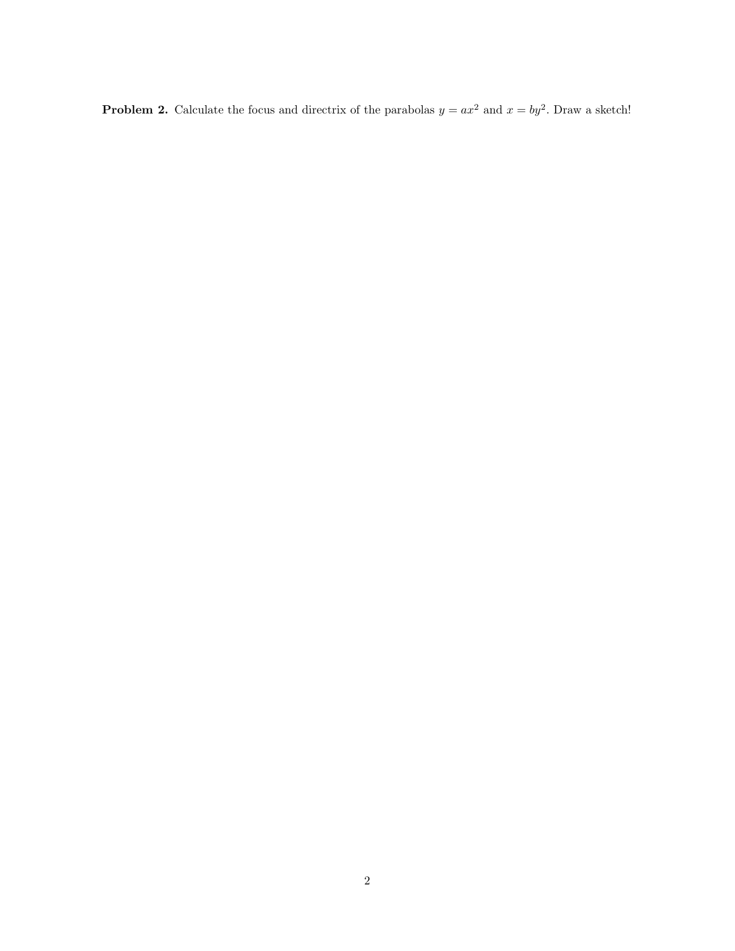**Problem 2.** Calculate the focus and directrix of the parabolas  $y = ax^2$  and  $x = by^2$ . Draw a sketch!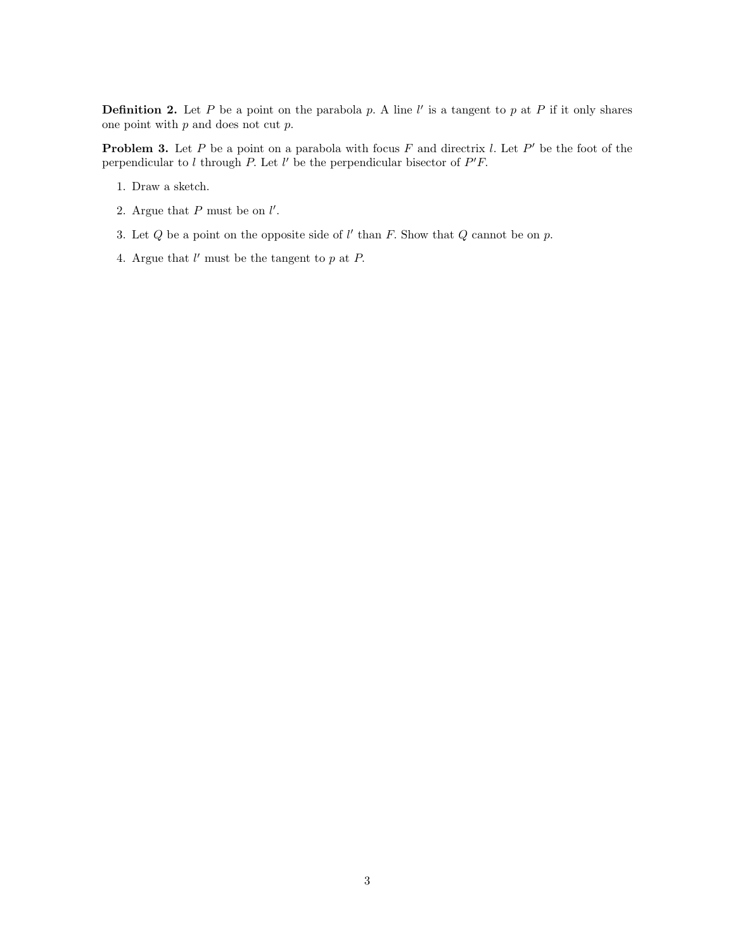**Definition 2.** Let P be a point on the parabola p. A line  $l'$  is a tangent to p at P if it only shares one point with  $p$  and does not cut  $p$ .

**Problem 3.** Let P be a point on a parabola with focus F and directrix l. Let P' be the foot of the perpendicular to  $l$  through  $P$ . Let  $l'$  be the perpendicular bisector of  $P'F$ .

- 1. Draw a sketch.
- 2. Argue that  $P$  must be on  $l'$ .
- 3. Let  $Q$  be a point on the opposite side of  $l'$  than  $F$ . Show that  $Q$  cannot be on  $p$ .
- 4. Argue that  $l'$  must be the tangent to  $p$  at  $P$ .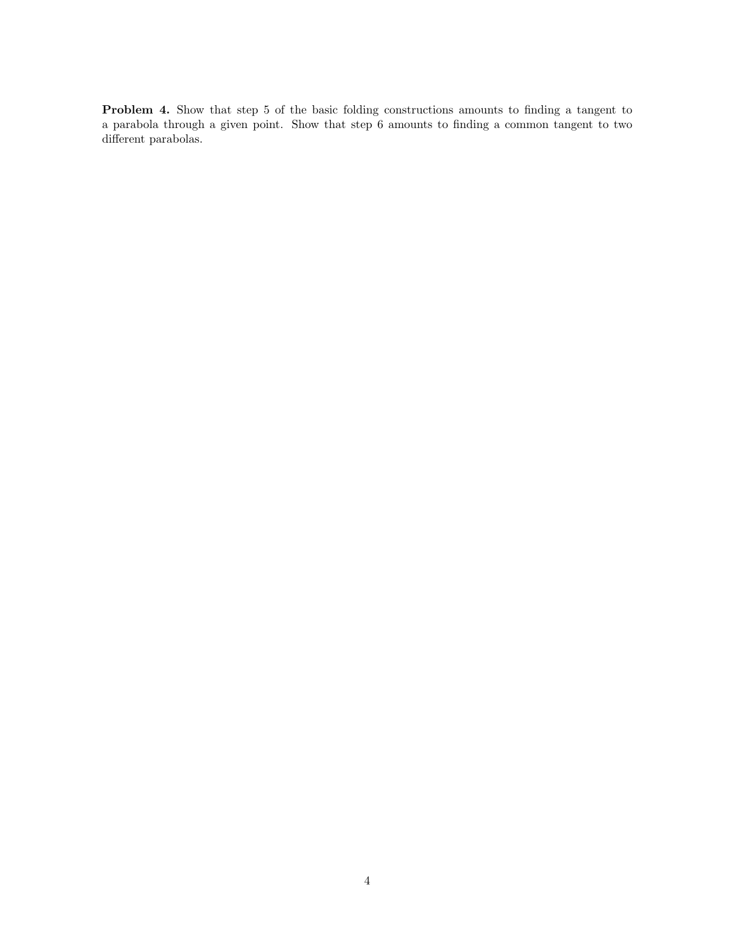Problem 4. Show that step 5 of the basic folding constructions amounts to finding a tangent to a parabola through a given point. Show that step 6 amounts to finding a common tangent to two different parabolas.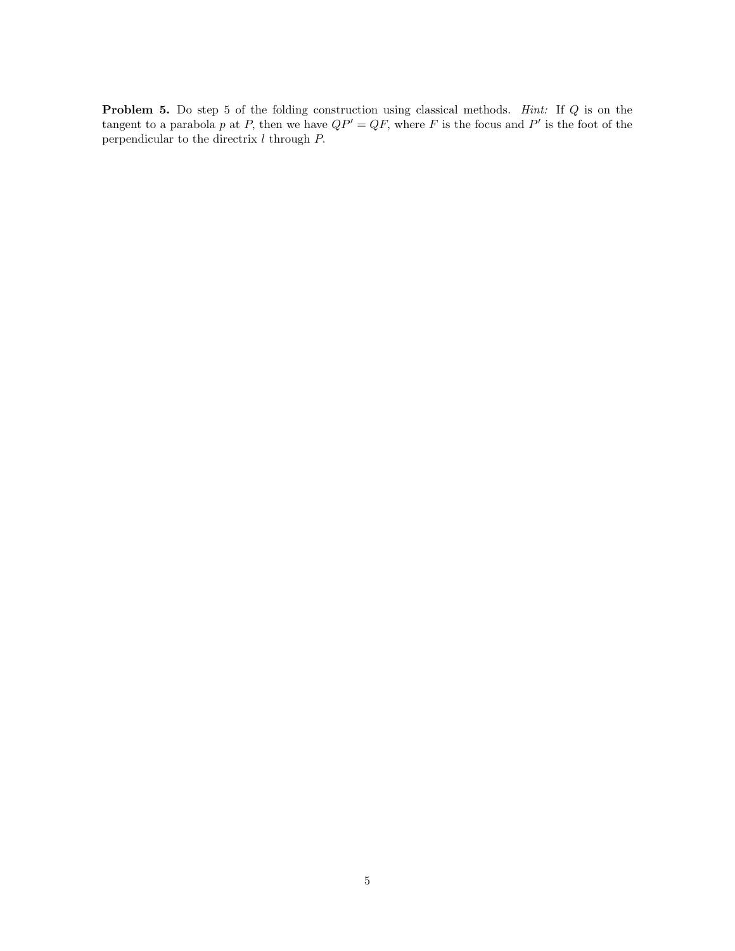Problem 5. Do step 5 of the folding construction using classical methods. Hint: If Q is on the tangent to a parabola p at P, then we have  $QP' = QF$ , where F is the focus and P' is the foot of the perpendicular to the directrix  $\boldsymbol{l}$  through  $\boldsymbol{P\!$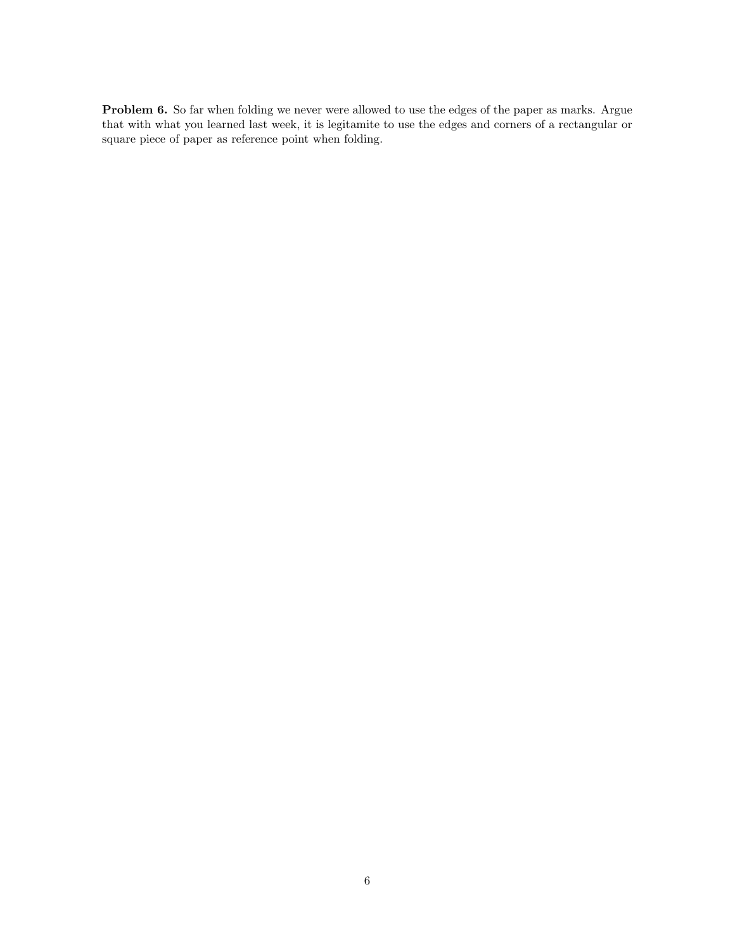Problem 6. So far when folding we never were allowed to use the edges of the paper as marks. Argue that with what you learned last week, it is legitamite to use the edges and corners of a rectangular or square piece of paper as reference point when folding.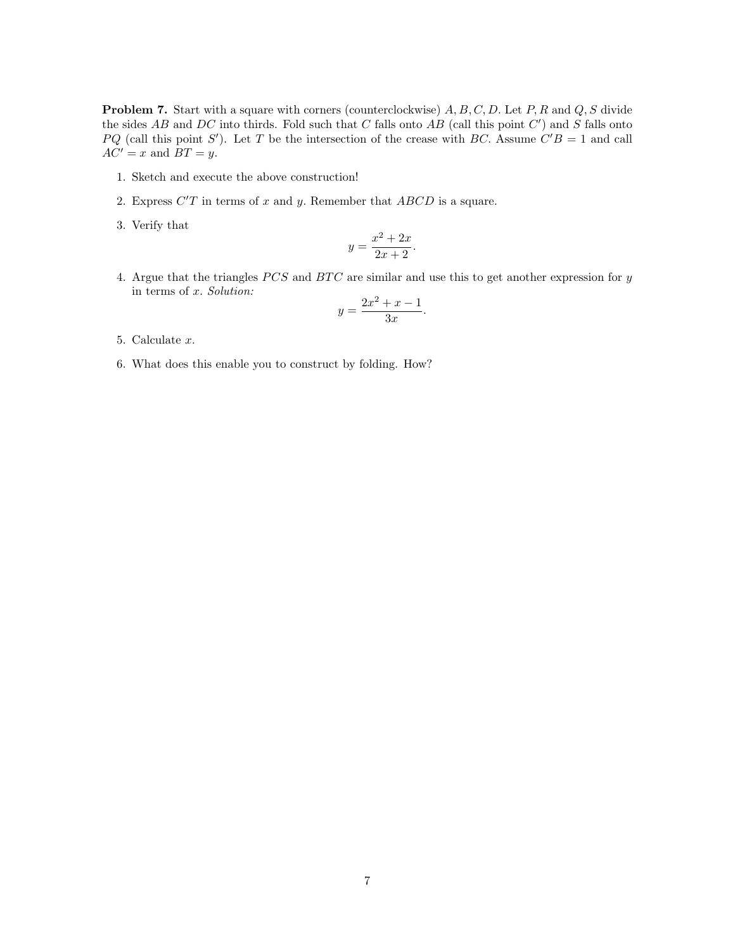**Problem 7.** Start with a square with corners (counterclockwise)  $A, B, C, D$ . Let  $P, R$  and  $Q, S$  divide the sides  $AB$  and  $DC$  into thirds. Fold such that  $C$  falls onto  $AB$  (call this point  $C'$ ) and  $S$  falls onto PQ (call this point S'). Let T be the intersection of the crease with BC. Assume  $C'B = 1$  and call  $AC' = x$  and  $BT = y$ .

- 1. Sketch and execute the above construction!
- 2. Express  $C'T$  in terms of x and y. Remember that  $ABCD$  is a square.
- 3. Verify that

$$
y = \frac{x^2 + 2x}{2x + 2}.
$$

4. Argue that the triangles  $PCS$  and  $BTC$  are similar and use this to get another expression for  $y$ in terms of x. Solution:

$$
y = \frac{2x^2 + x - 1}{3x}.
$$

- 5. Calculate x.
- 6. What does this enable you to construct by folding. How?